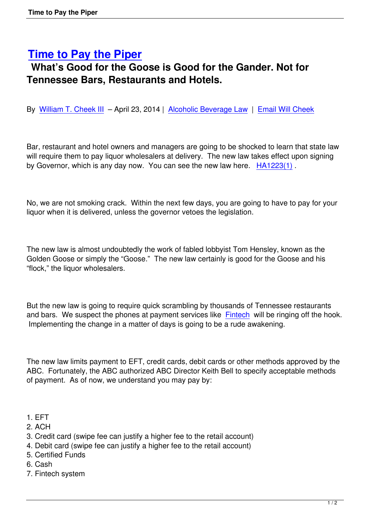## **Time to Pay the Piper**

## **What's Good for the Goose is Good for the Gander. Not for [Tennessee Bars, Restaur](http://www.nalcp.net/time-to-pay-the-piper/)ants and Hotels.**

By William T. Cheek III - April 23, 2014 | Alcoholic Beverage Law | Email Will Cheek

Bar[, restaurant and hote](http://lastcall.bonelaw.com/author/willcheek/)l owners and man[agers are going to be sho](http://lastcall.bonelaw.com/category/alcoholic-beverage-law/)ck[ed to learn that st](https://bonelaw.wufoo.com/forms/z7x0w7/)ate law will require them to pay liquor wholesalers at delivery. The new law takes effect upon signing by Governor, which is any day now. You can see the new law here. HA1223(1).

No, we are not smoking crack. Within the next few days, you are goi[ng to have to](http://lastcall.bonelaw.com/assets/HA12231.pdf) pay for your liquor when it is delivered, unless the governor vetoes the legislation.

The new law is almost undoubtedly the work of fabled lobbyist Tom Hensley, known as the Golden Goose or simply the "Goose." The new law certainly is good for the Goose and his "flock," the liquor wholesalers.

But the new law is going to require quick scrambling by thousands of Tennessee restaurants and bars. We suspect the phones at payment services like Fintech will be ringing off the hook. Implementing the change in a matter of days is going to be a rude awakening.

The new law limits payment to EFT, credit cards, debit cards or other methods approved by the ABC. Fortunately, the ABC authorized ABC Director Keith Bell to specify acceptable methods of payment. As of now, we understand you may pay by:

- 1. EFT
- 2. ACH
- 3. Credit card (swipe fee can justify a higher fee to the retail account)
- 4. Debit card (swipe fee can justify a higher fee to the retail account)
- 5. Certified Funds
- 6. Cash
- 7. Fintech system